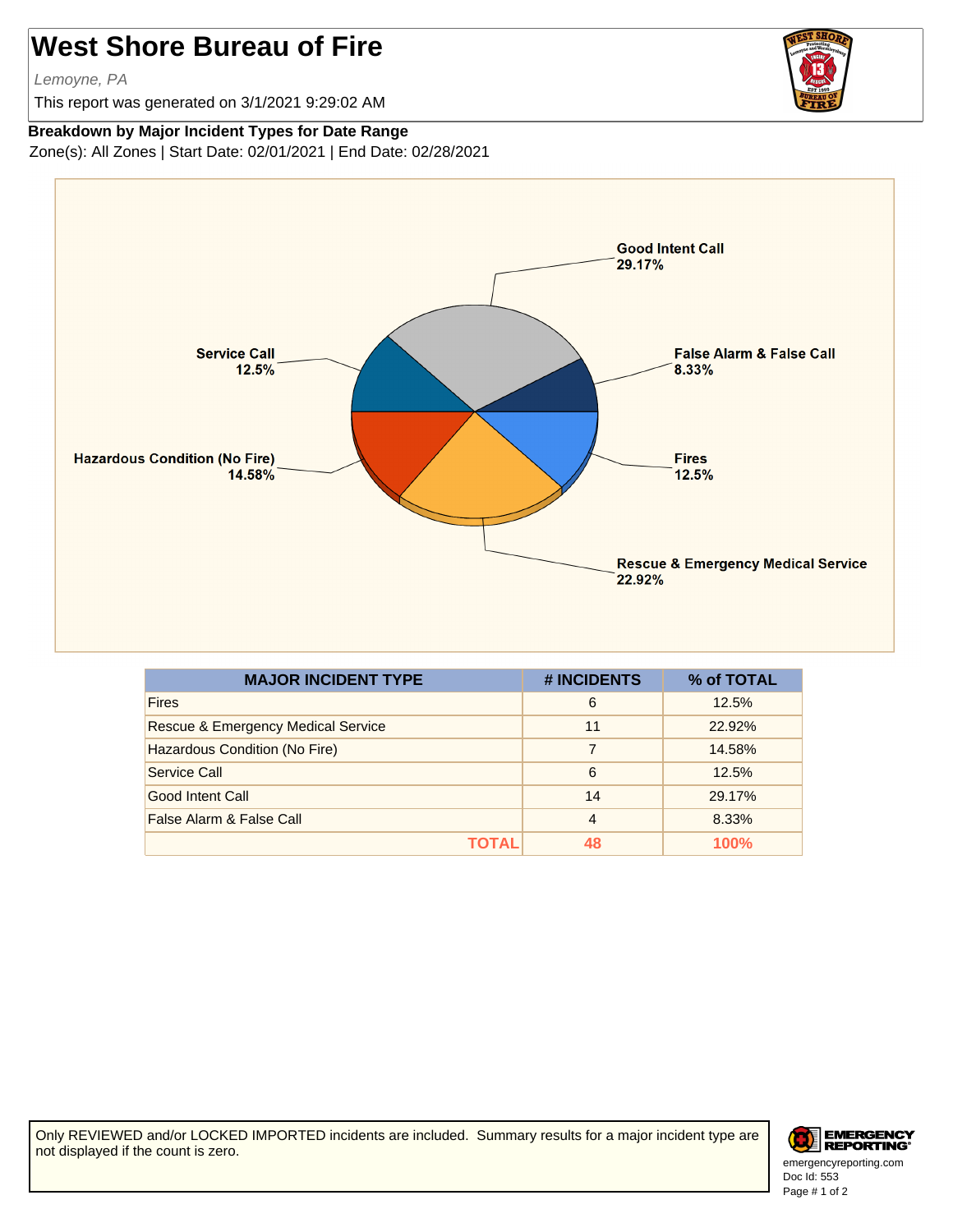## **West Shore Bureau of Fire**

Lemoyne, PA

This report was generated on 3/1/2021 9:29:02 AM



## **Breakdown by Major Incident Types for Date Range**

Zone(s): All Zones | Start Date: 02/01/2021 | End Date: 02/28/2021



| <b>MAJOR INCIDENT TYPE</b>                    | # INCIDENTS    | % of TOTAL |
|-----------------------------------------------|----------------|------------|
| <b>Fires</b>                                  | 6              | 12.5%      |
| <b>Rescue &amp; Emergency Medical Service</b> | 11             | 22.92%     |
| Hazardous Condition (No Fire)                 | 7              | 14.58%     |
| Service Call                                  | 6              | 12.5%      |
| Good Intent Call                              | 14             | 29.17%     |
| False Alarm & False Call                      | $\overline{4}$ | 8.33%      |
| ΤΩΤΑΙ                                         | 48             | 100%       |

Only REVIEWED and/or LOCKED IMPORTED incidents are included. Summary results for a major incident type are not displayed if the count is zero.



Doc Id: 553 emergencyreporting.com Page # 1 of 2